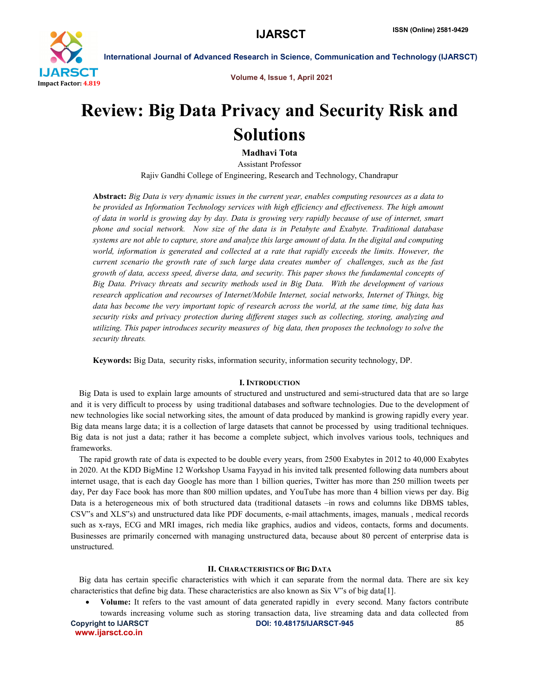

Volume 4, Issue 1, April 2021

International Journal of Advanced Research in Science, Communication and Technology (IJARSCT)

# Review: Big Data Privacy and Security Risk and Solutions

Madhavi Tota

Assistant Professor Rajiv Gandhi College of Engineering, Research and Technology, Chandrapur

Abstract: *Big Data is very dynamic issues in the current year, enables computing resources as a data to be provided as Information Technology services with high efficiency and effectiveness. The high amount of data in world is growing day by day. Data is growing very rapidly because of use of internet, smart phone and social network. Now size of the data is in Petabyte and Exabyte. Traditional database systems are not able to capture, store and analyze this large amount of data. In the digital and computing*  world, information is generated and collected at a rate that rapidly exceeds the limits. However, the *current scenario the growth rate of such large data creates number of challenges, such as the fast growth of data, access speed, diverse data, and security. This paper shows the fundamental concepts of Big Data. Privacy threats and security methods used in Big Data. With the development of various research application and recourses of Internet/Mobile Internet, social networks, Internet of Things, big data has become the very important topic of research across the world, at the same time, big data has security risks and privacy protection during different stages such as collecting, storing, analyzing and utilizing. This paper introduces security measures of big data, then proposes the technology to solve the security threats.*

Keywords: Big Data, security risks, information security, information security technology, DP.

# I. INTRODUCTION

 Big Data is used to explain large amounts of structured and unstructured and semi-structured data that are so large and it is very difficult to process by using traditional databases and software technologies. Due to the development of new technologies like social networking sites, the amount of data produced by mankind is growing rapidly every year. Big data means large data; it is a collection of large datasets that cannot be processed by using traditional techniques. Big data is not just a data; rather it has become a complete subject, which involves various tools, techniques and frameworks.

 The rapid growth rate of data is expected to be double every years, from 2500 Exabytes in 2012 to 40,000 Exabytes in 2020. At the KDD BigMine 12 Workshop Usama Fayyad in his invited talk presented following data numbers about internet usage, that is each day Google has more than 1 billion queries, Twitter has more than 250 million tweets per day, Per day Face book has more than 800 million updates, and YouTube has more than 4 billion views per day. Big Data is a heterogeneous mix of both structured data (traditional datasets –in rows and columns like DBMS tables, CSV"s and XLS"s) and unstructured data like PDF documents, e-mail attachments, images, manuals , medical records such as x-rays, ECG and MRI images, rich media like graphics, audios and videos, contacts, forms and documents. Businesses are primarily concerned with managing unstructured data, because about 80 percent of enterprise data is unstructured.

# II. CHARACTERISTICS OF BIG DATA

 Big data has certain specific characteristics with which it can separate from the normal data. There are six key characteristics that define big data. These characteristics are also known as Six V"s of big data[1].

 Volume: It refers to the vast amount of data generated rapidly in every second. Many factors contribute towards increasing volume such as storing transaction data, live streaming data and data collected from

www.ijarsct.co.in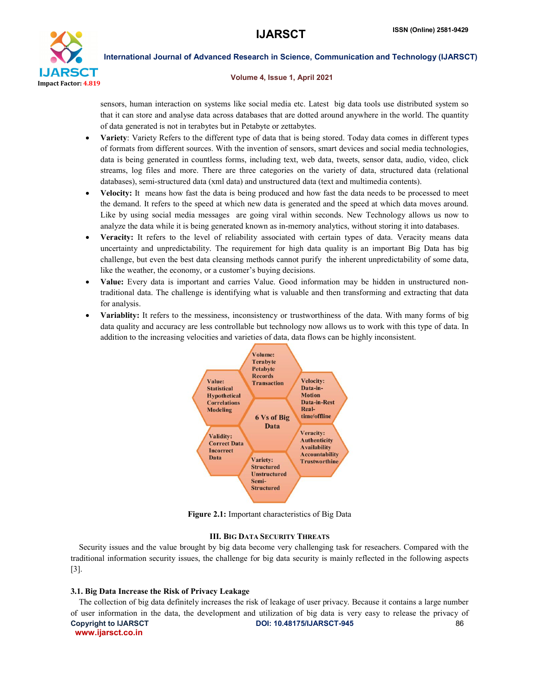

#### Volume 4, Issue 1, April 2021

sensors, human interaction on systems like social media etc. Latest big data tools use distributed system so that it can store and analyse data across databases that are dotted around anywhere in the world. The quantity of data generated is not in terabytes but in Petabyte or zettabytes.

- Variety: Variety Refers to the different type of data that is being stored. Today data comes in different types of formats from different sources. With the invention of sensors, smart devices and social media technologies, data is being generated in countless forms, including text, web data, tweets, sensor data, audio, video, click streams, log files and more. There are three categories on the variety of data, structured data (relational databases), semi-structured data (xml data) and unstructured data (text and multimedia contents).
- Velocity: It means how fast the data is being produced and how fast the data needs to be processed to meet the demand. It refers to the speed at which new data is generated and the speed at which data moves around. Like by using social media messages are going viral within seconds. New Technology allows us now to analyze the data while it is being generated known as in-memory analytics, without storing it into databases.
- Veracity: It refers to the level of reliability associated with certain types of data. Veracity means data uncertainty and unpredictability. The requirement for high data quality is an important Big Data has big challenge, but even the best data cleansing methods cannot purify the inherent unpredictability of some data, like the weather, the economy, or a customer's buying decisions.
- Value: Every data is important and carries Value. Good information may be hidden in unstructured nontraditional data. The challenge is identifying what is valuable and then transforming and extracting that data for analysis.
- Variablity: It refers to the messiness, inconsistency or trustworthiness of the data. With many forms of big data quality and accuracy are less controllable but technology now allows us to work with this type of data. In addition to the increasing velocities and varieties of data, data flows can be highly inconsistent.



Figure 2.1: Important characteristics of Big Data

# III. BIG DATA SECURITY THREATS

 Security issues and the value brought by big data become very challenging task for reseachers. Compared with the traditional information security issues, the challenge for big data security is mainly reflected in the following aspects [3].

# 3.1. Big Data Increase the Risk of Privacy Leakage

Copyright to IJARSCT DOI: 10.48175/IJARSCT-945 86 www.ijarsct.co.in The collection of big data definitely increases the risk of leakage of user privacy. Because it contains a large number of user information in the data, the development and utilization of big data is very easy to release the privacy of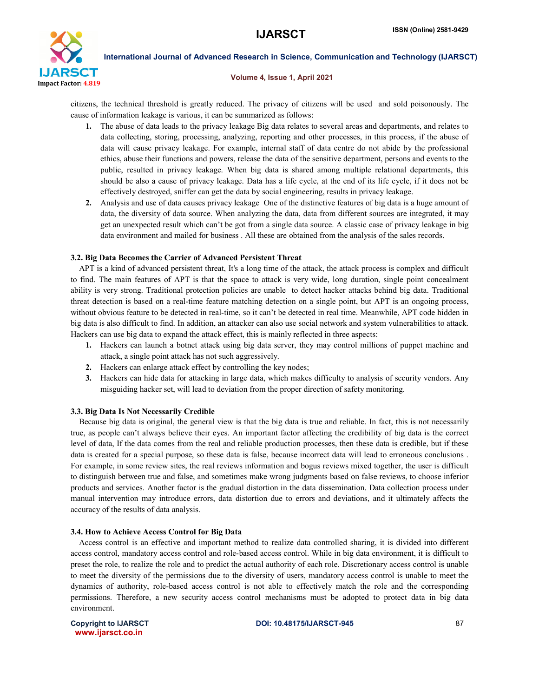

#### Volume 4, Issue 1, April 2021

citizens, the technical threshold is greatly reduced. The privacy of citizens will be used and sold poisonously. The cause of information leakage is various, it can be summarized as follows:

- 1. The abuse of data leads to the privacy leakage Big data relates to several areas and departments, and relates to data collecting, storing, processing, analyzing, reporting and other processes, in this process, if the abuse of data will cause privacy leakage. For example, internal staff of data centre do not abide by the professional ethics, abuse their functions and powers, release the data of the sensitive department, persons and events to the public, resulted in privacy leakage. When big data is shared among multiple relational departments, this should be also a cause of privacy leakage. Data has a life cycle, at the end of its life cycle, if it does not be effectively destroyed, sniffer can get the data by social engineering, results in privacy leakage.
- 2. Analysis and use of data causes privacy leakage One of the distinctive features of big data is a huge amount of data, the diversity of data source. When analyzing the data, data from different sources are integrated, it may get an unexpected result which can't be got from a single data source. A classic case of privacy leakage in big data environment and mailed for business . All these are obtained from the analysis of the sales records.

# 3.2. Big Data Becomes the Carrier of Advanced Persistent Threat

 APT is a kind of advanced persistent threat, It's a long time of the attack, the attack process is complex and difficult to find. The main features of APT is that the space to attack is very wide, long duration, single point concealment ability is very strong. Traditional protection policies are unable to detect hacker attacks behind big data. Traditional threat detection is based on a real-time feature matching detection on a single point, but APT is an ongoing process, without obvious feature to be detected in real-time, so it can't be detected in real time. Meanwhile, APT code hidden in big data is also difficult to find. In addition, an attacker can also use social network and system vulnerabilities to attack. Hackers can use big data to expand the attack effect, this is mainly reflected in three aspects:

- 1. Hackers can launch a botnet attack using big data server, they may control millions of puppet machine and attack, a single point attack has not such aggressively.
- 2. Hackers can enlarge attack effect by controlling the key nodes;
- 3. Hackers can hide data for attacking in large data, which makes difficulty to analysis of security vendors. Any misguiding hacker set, will lead to deviation from the proper direction of safety monitoring.

# 3.3. Big Data Is Not Necessarily Credible

 Because big data is original, the general view is that the big data is true and reliable. In fact, this is not necessarily true, as people can't always believe their eyes. An important factor affecting the credibility of big data is the correct level of data, If the data comes from the real and reliable production processes, then these data is credible, but if these data is created for a special purpose, so these data is false, because incorrect data will lead to erroneous conclusions . For example, in some review sites, the real reviews information and bogus reviews mixed together, the user is difficult to distinguish between true and false, and sometimes make wrong judgments based on false reviews, to choose inferior products and services. Another factor is the gradual distortion in the data dissemination. Data collection process under manual intervention may introduce errors, data distortion due to errors and deviations, and it ultimately affects the accuracy of the results of data analysis.

# 3.4. How to Achieve Access Control for Big Data

 Access control is an effective and important method to realize data controlled sharing, it is divided into different access control, mandatory access control and role-based access control. While in big data environment, it is difficult to preset the role, to realize the role and to predict the actual authority of each role. Discretionary access control is unable to meet the diversity of the permissions due to the diversity of users, mandatory access control is unable to meet the dynamics of authority, role-based access control is not able to effectively match the role and the corresponding permissions. Therefore, a new security access control mechanisms must be adopted to protect data in big data environment.

www.ijarsct.co.in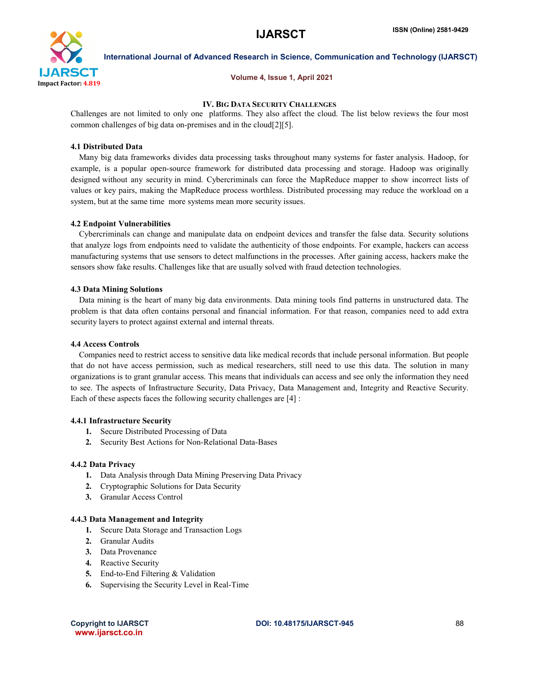

# Volume 4, Issue 1, April 2021

# IV. BIG DATA SECURITY CHALLENGES

Challenges are not limited to only one platforms. They also affect the cloud. The list below reviews the four most common challenges of big data on-premises and in the cloud[2][5].

# 4.1 Distributed Data

 Many big data frameworks divides data processing tasks throughout many systems for faster analysis. Hadoop, for example, is a popular open-source framework for distributed data processing and storage. Hadoop was originally designed without any security in mind. Cybercriminals can force the MapReduce mapper to show incorrect lists of values or key pairs, making the MapReduce process worthless. Distributed processing may reduce the workload on a system, but at the same time more systems mean more security issues.

## 4.2 Endpoint Vulnerabilities

 Cybercriminals can change and manipulate data on endpoint devices and transfer the false data. Security solutions that analyze logs from endpoints need to validate the authenticity of those endpoints. For example, hackers can access manufacturing systems that use sensors to detect malfunctions in the processes. After gaining access, hackers make the sensors show fake results. Challenges like that are usually solved with fraud detection technologies.

## 4.3 Data Mining Solutions

 Data mining is the heart of many big data environments. Data mining tools find patterns in unstructured data. The problem is that data often contains personal and financial information. For that reason, companies need to add extra security layers to protect against external and internal threats.

#### 4.4 Access Controls

 Companies need to restrict access to sensitive data like medical records that include personal information. But people that do not have access permission, such as medical researchers, still need to use this data. The solution in many organizations is to grant granular access. This means that individuals can access and see only the information they need to see. The aspects of Infrastructure Security, Data Privacy, Data Management and, Integrity and Reactive Security. Each of these aspects faces the following security challenges are [4] :

#### 4.4.1 Infrastructure Security

- 1. Secure Distributed Processing of Data
- 2. Security Best Actions for Non-Relational Data-Bases

#### 4.4.2 Data Privacy

- 1. Data Analysis through Data Mining Preserving Data Privacy
- 2. Cryptographic Solutions for Data Security
- 3. Granular Access Control

#### 4.4.3 Data Management and Integrity

- 1. Secure Data Storage and Transaction Logs
- 2. Granular Audits
- 3. Data Provenance
- 4. Reactive Security
- 5. End-to-End Filtering & Validation
- 6. Supervising the Security Level in Real-Time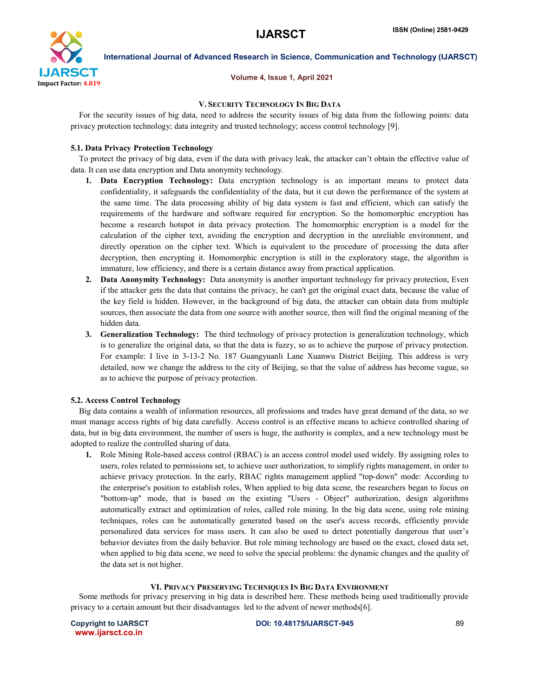

Volume 4, Issue 1, April 2021

International Journal of Advanced Research in Science, Communication and Technology (IJARSCT)

# V. SECURITY TECHNOLOGY IN BIG DATA

 For the security issues of big data, need to address the security issues of big data from the following points: data privacy protection technology; data integrity and trusted technology; access control technology [9].

# 5.1. Data Privacy Protection Technology

 To protect the privacy of big data, even if the data with privacy leak, the attacker can't obtain the effective value of data. It can use data encryption and Data anonymity technology.

- 1. Data Encryption Technology: Data encryption technology is an important means to protect data confidentiality, it safeguards the confidentiality of the data, but it cut down the performance of the system at the same time. The data processing ability of big data system is fast and efficient, which can satisfy the requirements of the hardware and software required for encryption. So the homomorphic encryption has become a research hotspot in data privacy protection. The homomorphic encryption is a model for the calculation of the cipher text, avoiding the encryption and decryption in the unreliable environment, and directly operation on the cipher text. Which is equivalent to the procedure of processing the data after decryption, then encrypting it. Homomorphic encryption is still in the exploratory stage, the algorithm is immature, low efficiency, and there is a certain distance away from practical application.
- 2. Data Anonymity Technology: Data anonymity is another important technology for privacy protection, Even if the attacker gets the data that contains the privacy, he can't get the original exact data, because the value of the key field is hidden. However, in the background of big data, the attacker can obtain data from multiple sources, then associate the data from one source with another source, then will find the original meaning of the hidden data.
- 3. Generalization Technology: The third technology of privacy protection is generalization technology, which is to generalize the original data, so that the data is fuzzy, so as to achieve the purpose of privacy protection. For example: I live in 3-13-2 No. 187 Guangyuanli Lane Xuanwu District Beijing. This address is very detailed, now we change the address to the city of Beijing, so that the value of address has become vague, so as to achieve the purpose of privacy protection.

# 5.2. Access Control Technology

 Big data contains a wealth of information resources, all professions and trades have great demand of the data, so we must manage access rights of big data carefully. Access control is an effective means to achieve controlled sharing of data, but in big data environment, the number of users is huge, the authority is complex, and a new technology must be adopted to realize the controlled sharing of data.

1. Role Mining Role-based access control (RBAC) is an access control model used widely. By assigning roles to users, roles related to permissions set, to achieve user authorization, to simplify rights management, in order to achieve privacy protection. In the early, RBAC rights management applied "top-down" mode: According to the enterprise's position to establish roles, When applied to big data scene, the researchers began to focus on "bottom-up" mode, that is based on the existing "Users - Object" authorization, design algorithms automatically extract and optimization of roles, called role mining. In the big data scene, using role mining techniques, roles can be automatically generated based on the user's access records, efficiently provide personalized data services for mass users. It can also be used to detect potentially dangerous that user's behavior deviates from the daily behavior. But role mining technology are based on the exact, closed data set, when applied to big data scene, we need to solve the special problems: the dynamic changes and the quality of the data set is not higher.

# VI. PRIVACY PRESERVING TECHNIQUES IN BIG DATA ENVIRONMENT

 Some methods for privacy preserving in big data is described here. These methods being used traditionally provide privacy to a certain amount but their disadvantages led to the advent of newer methods[6].

www.ijarsct.co.in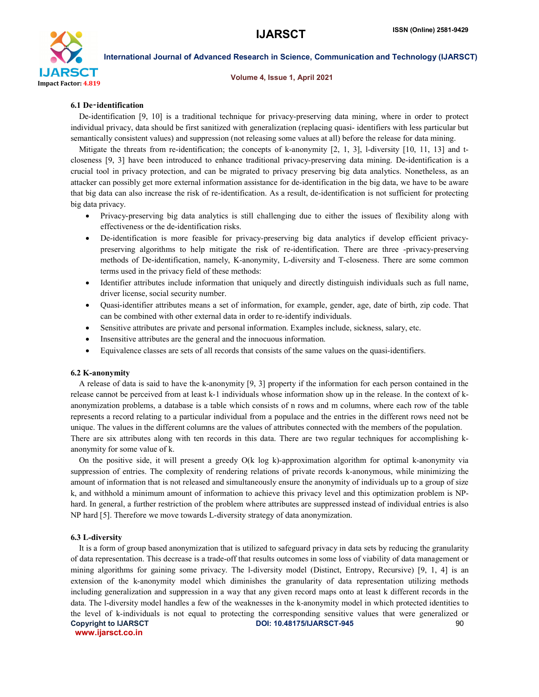

#### Volume 4, Issue 1, April 2021

# 6.1 De‑identification

 De-identification [9, 10] is a traditional technique for privacy-preserving data mining, where in order to protect individual privacy, data should be first sanitized with generalization (replacing quasi- identifiers with less particular but semantically consistent values) and suppression (not releasing some values at all) before the release for data mining.

Mitigate the threats from re-identification; the concepts of k-anonymity  $[2, 1, 3]$ , l-diversity  $[10, 11, 13]$  and tcloseness [9, 3] have been introduced to enhance traditional privacy-preserving data mining. De-identification is a crucial tool in privacy protection, and can be migrated to privacy preserving big data analytics. Nonetheless, as an attacker can possibly get more external information assistance for de-identification in the big data, we have to be aware that big data can also increase the risk of re-identification. As a result, de-identification is not sufficient for protecting big data privacy.

- Privacy-preserving big data analytics is still challenging due to either the issues of flexibility along with effectiveness or the de-identification risks.
- De-identification is more feasible for privacy-preserving big data analytics if develop efficient privacypreserving algorithms to help mitigate the risk of re-identification. There are three -privacy-preserving methods of De-identification, namely, K-anonymity, L-diversity and T-closeness. There are some common terms used in the privacy field of these methods:
- Identifier attributes include information that uniquely and directly distinguish individuals such as full name, driver license, social security number.
- Quasi-identifier attributes means a set of information, for example, gender, age, date of birth, zip code. That can be combined with other external data in order to re-identify individuals.
- Sensitive attributes are private and personal information. Examples include, sickness, salary, etc.
- Insensitive attributes are the general and the innocuous information.
- Equivalence classes are sets of all records that consists of the same values on the quasi-identifiers.

#### 6.2 K-anonymity

 A release of data is said to have the k-anonymity [9, 3] property if the information for each person contained in the release cannot be perceived from at least k-1 individuals whose information show up in the release. In the context of kanonymization problems, a database is a table which consists of n rows and m columns, where each row of the table represents a record relating to a particular individual from a populace and the entries in the different rows need not be unique. The values in the different columns are the values of attributes connected with the members of the population. There are six attributes along with ten records in this data. There are two regular techniques for accomplishing kanonymity for some value of k.

 On the positive side, it will present a greedy O(k log k)-approximation algorithm for optimal k-anonymity via suppression of entries. The complexity of rendering relations of private records k-anonymous, while minimizing the amount of information that is not released and simultaneously ensure the anonymity of individuals up to a group of size k, and withhold a minimum amount of information to achieve this privacy level and this optimization problem is NPhard. In general, a further restriction of the problem where attributes are suppressed instead of individual entries is also NP hard [5]. Therefore we move towards L-diversity strategy of data anonymization.

## 6.3 L-diversity

Copyright to IJARSCT DOI: 10.48175/IJARSCT-945 90 www.ijarsct.co.in It is a form of group based anonymization that is utilized to safeguard privacy in data sets by reducing the granularity of data representation. This decrease is a trade-off that results outcomes in some loss of viability of data management or mining algorithms for gaining some privacy. The l-diversity model (Distinct, Entropy, Recursive) [9, 1, 4] is an extension of the k-anonymity model which diminishes the granularity of data representation utilizing methods including generalization and suppression in a way that any given record maps onto at least k different records in the data. The l-diversity model handles a few of the weaknesses in the k-anonymity model in which protected identities to the level of k-individuals is not equal to protecting the corresponding sensitive values that were generalized or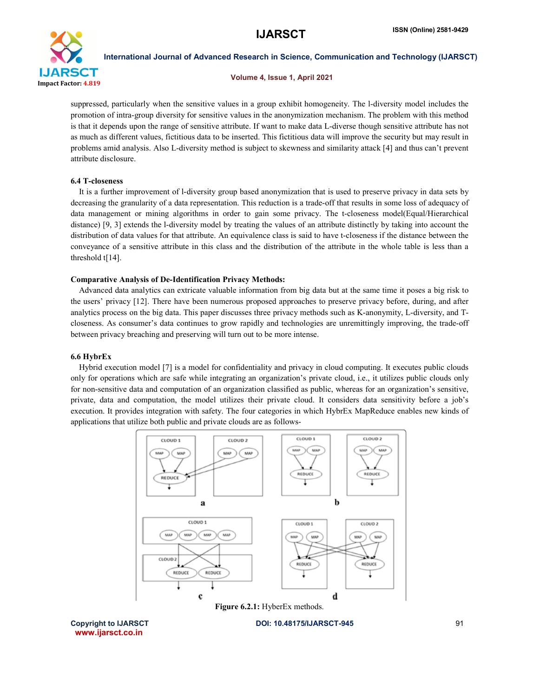

#### Volume 4, Issue 1, April 2021

suppressed, particularly when the sensitive values in a group exhibit homogeneity. The l-diversity model includes the promotion of intra-group diversity for sensitive values in the anonymization mechanism. The problem with this method is that it depends upon the range of sensitive attribute. If want to make data L-diverse though sensitive attribute has not as much as different values, fictitious data to be inserted. This fictitious data will improve the security but may result in problems amid analysis. Also L-diversity method is subject to skewness and similarity attack [4] and thus can't prevent attribute disclosure.

# 6.4 T-closeness

 It is a further improvement of l-diversity group based anonymization that is used to preserve privacy in data sets by decreasing the granularity of a data representation. This reduction is a trade-off that results in some loss of adequacy of data management or mining algorithms in order to gain some privacy. The t-closeness model(Equal/Hierarchical distance) [9, 3] extends the l-diversity model by treating the values of an attribute distinctly by taking into account the distribution of data values for that attribute. An equivalence class is said to have t-closeness if the distance between the conveyance of a sensitive attribute in this class and the distribution of the attribute in the whole table is less than a threshold t[14].

## Comparative Analysis of De-Identification Privacy Methods:

 Advanced data analytics can extricate valuable information from big data but at the same time it poses a big risk to the users' privacy [12]. There have been numerous proposed approaches to preserve privacy before, during, and after analytics process on the big data. This paper discusses three privacy methods such as K-anonymity, L-diversity, and Tcloseness. As consumer's data continues to grow rapidly and technologies are unremittingly improving, the trade-off between privacy breaching and preserving will turn out to be more intense.

# 6.6 HybrEx

 Hybrid execution model [7] is a model for confidentiality and privacy in cloud computing. It executes public clouds only for operations which are safe while integrating an organization's private cloud, i.e., it utilizes public clouds only for non-sensitive data and computation of an organization classified as public, whereas for an organization's sensitive, private, data and computation, the model utilizes their private cloud. It considers data sensitivity before a job's execution. It provides integration with safety. The four categories in which HybrEx MapReduce enables new kinds of applications that utilize both public and private clouds are as follows-



www.ijarsct.co.in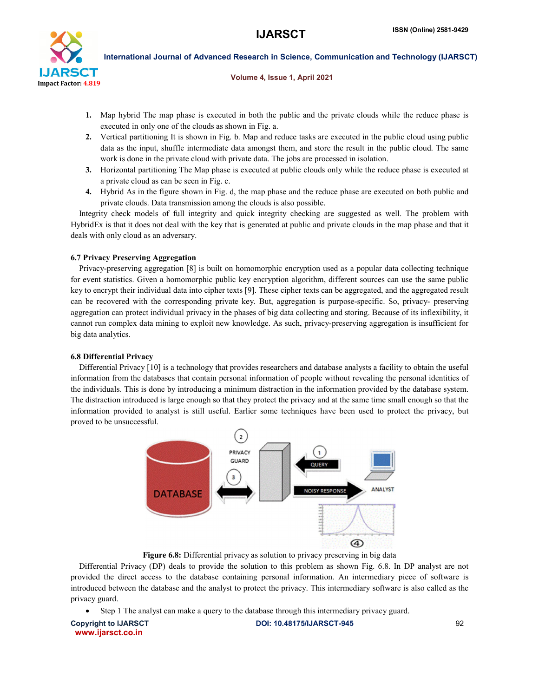

#### Volume 4, Issue 1, April 2021

- 1. Map hybrid The map phase is executed in both the public and the private clouds while the reduce phase is executed in only one of the clouds as shown in Fig. a.
- 2. Vertical partitioning It is shown in Fig. b. Map and reduce tasks are executed in the public cloud using public data as the input, shuffle intermediate data amongst them, and store the result in the public cloud. The same work is done in the private cloud with private data. The jobs are processed in isolation.
- 3. Horizontal partitioning The Map phase is executed at public clouds only while the reduce phase is executed at a private cloud as can be seen in Fig. c.
- 4. Hybrid As in the figure shown in Fig. d, the map phase and the reduce phase are executed on both public and private clouds. Data transmission among the clouds is also possible.

 Integrity check models of full integrity and quick integrity checking are suggested as well. The problem with HybridEx is that it does not deal with the key that is generated at public and private clouds in the map phase and that it deals with only cloud as an adversary.

# 6.7 Privacy Preserving Aggregation

 Privacy-preserving aggregation [8] is built on homomorphic encryption used as a popular data collecting technique for event statistics. Given a homomorphic public key encryption algorithm, different sources can use the same public key to encrypt their individual data into cipher texts [9]. These cipher texts can be aggregated, and the aggregated result can be recovered with the corresponding private key. But, aggregation is purpose-specific. So, privacy- preserving aggregation can protect individual privacy in the phases of big data collecting and storing. Because of its inflexibility, it cannot run complex data mining to exploit new knowledge. As such, privacy-preserving aggregation is insufficient for big data analytics.

#### 6.8 Differential Privacy

 Differential Privacy [10] is a technology that provides researchers and database analysts a facility to obtain the useful information from the databases that contain personal information of people without revealing the personal identities of the individuals. This is done by introducing a minimum distraction in the information provided by the database system. The distraction introduced is large enough so that they protect the privacy and at the same time small enough so that the information provided to analyst is still useful. Earlier some techniques have been used to protect the privacy, but proved to be unsuccessful.



Figure 6.8: Differential privacy as solution to privacy preserving in big data

 Differential Privacy (DP) deals to provide the solution to this problem as shown Fig. 6.8. In DP analyst are not provided the direct access to the database containing personal information. An intermediary piece of software is introduced between the database and the analyst to protect the privacy. This intermediary software is also called as the privacy guard.

Step 1 The analyst can make a query to the database through this intermediary privacy guard.

www.ijarsct.co.in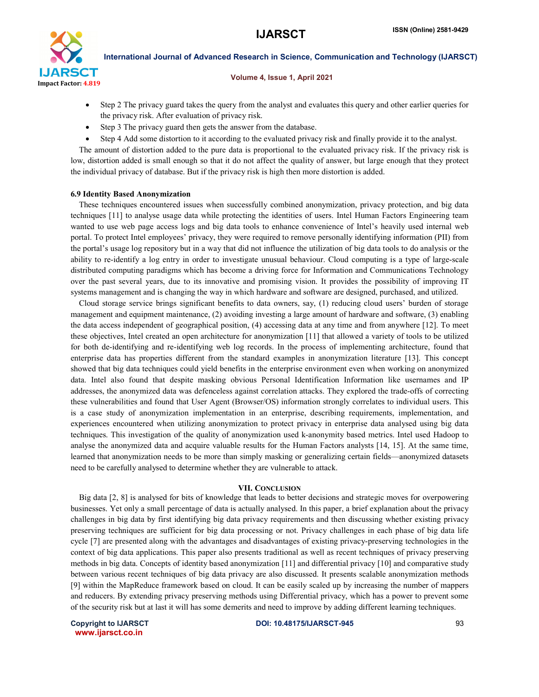

#### Volume 4, Issue 1, April 2021

- Step 2 The privacy guard takes the query from the analyst and evaluates this query and other earlier queries for the privacy risk. After evaluation of privacy risk.
- Step 3 The privacy guard then gets the answer from the database.
- Step 4 Add some distortion to it according to the evaluated privacy risk and finally provide it to the analyst.

 The amount of distortion added to the pure data is proportional to the evaluated privacy risk. If the privacy risk is low, distortion added is small enough so that it do not affect the quality of answer, but large enough that they protect the individual privacy of database. But if the privacy risk is high then more distortion is added.

#### 6.9 Identity Based Anonymization

 These techniques encountered issues when successfully combined anonymization, privacy protection, and big data techniques [11] to analyse usage data while protecting the identities of users. Intel Human Factors Engineering team wanted to use web page access logs and big data tools to enhance convenience of Intel's heavily used internal web portal. To protect Intel employees' privacy, they were required to remove personally identifying information (PII) from the portal's usage log repository but in a way that did not influence the utilization of big data tools to do analysis or the ability to re-identify a log entry in order to investigate unusual behaviour. Cloud computing is a type of large-scale distributed computing paradigms which has become a driving force for Information and Communications Technology over the past several years, due to its innovative and promising vision. It provides the possibility of improving IT systems management and is changing the way in which hardware and software are designed, purchased, and utilized.

 Cloud storage service brings significant benefits to data owners, say, (1) reducing cloud users' burden of storage management and equipment maintenance, (2) avoiding investing a large amount of hardware and software, (3) enabling the data access independent of geographical position, (4) accessing data at any time and from anywhere [12]. To meet these objectives, Intel created an open architecture for anonymization [11] that allowed a variety of tools to be utilized for both de-identifying and re-identifying web log records. In the process of implementing architecture, found that enterprise data has properties different from the standard examples in anonymization literature [13]. This concept showed that big data techniques could yield benefits in the enterprise environment even when working on anonymized data. Intel also found that despite masking obvious Personal Identification Information like usernames and IP addresses, the anonymized data was defenceless against correlation attacks. They explored the trade-offs of correcting these vulnerabilities and found that User Agent (Browser/OS) information strongly correlates to individual users. This is a case study of anonymization implementation in an enterprise, describing requirements, implementation, and experiences encountered when utilizing anonymization to protect privacy in enterprise data analysed using big data techniques. This investigation of the quality of anonymization used k-anonymity based metrics. Intel used Hadoop to analyse the anonymized data and acquire valuable results for the Human Factors analysts [14, 15]. At the same time, learned that anonymization needs to be more than simply masking or generalizing certain fields—anonymized datasets need to be carefully analysed to determine whether they are vulnerable to attack.

# VII. CONCLUSION

 Big data [2, 8] is analysed for bits of knowledge that leads to better decisions and strategic moves for overpowering businesses. Yet only a small percentage of data is actually analysed. In this paper, a brief explanation about the privacy challenges in big data by first identifying big data privacy requirements and then discussing whether existing privacy preserving techniques are sufficient for big data processing or not. Privacy challenges in each phase of big data life cycle [7] are presented along with the advantages and disadvantages of existing privacy-preserving technologies in the context of big data applications. This paper also presents traditional as well as recent techniques of privacy preserving methods in big data. Concepts of identity based anonymization [11] and differential privacy [10] and comparative study between various recent techniques of big data privacy are also discussed. It presents scalable anonymization methods [9] within the MapReduce framework based on cloud. It can be easily scaled up by increasing the number of mappers and reducers. By extending privacy preserving methods using Differential privacy, which has a power to prevent some of the security risk but at last it will has some demerits and need to improve by adding different learning techniques.

www.ijarsct.co.in